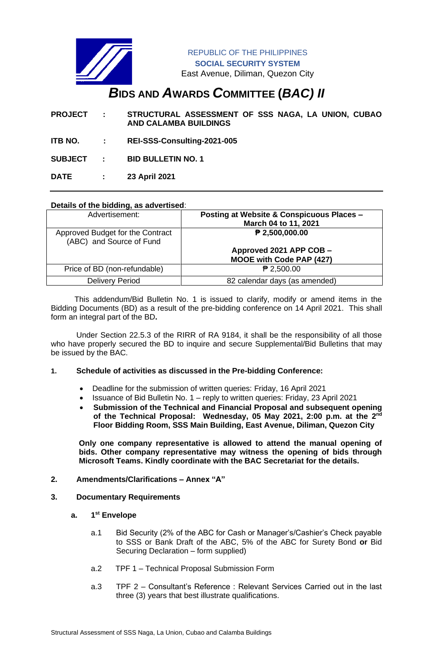

REPUBLIC OF THE PHILIPPINES **SOCIAL SECURITY SYSTEM** East Avenue, Diliman, Quezon City

# *B***IDS AND** *A***WARDS** *C***OMMITTEE (***BAC) II*

**PROJECT : STRUCTURAL ASSESSMENT OF SSS NAGA, LA UNION, CUBAO AND CALAMBA BUILDINGS**

- **ITB NO. : REI-SSS-Consulting-2021-005**
- **SUBJECT : BID BULLETIN NO. 1**

**DATE : 23 April 2021**

## **Details of the bidding, as advertised**:

| Advertisement:                                               | Posting at Website & Conspicuous Places -<br>March 04 to 11, 2021 |
|--------------------------------------------------------------|-------------------------------------------------------------------|
| Approved Budget for the Contract<br>(ABC) and Source of Fund | ₱ 2,500,000.00                                                    |
|                                                              | Approved 2021 APP COB -<br><b>MOOE with Code PAP (427)</b>        |
| Price of BD (non-refundable)                                 | $P$ 2,500.00                                                      |
| <b>Delivery Period</b>                                       | 82 calendar days (as amended)                                     |

 This addendum/Bid Bulletin No. 1 is issued to clarify, modify or amend items in the Bidding Documents (BD) as a result of the pre-bidding conference on 14 April 2021. This shall form an integral part of the BD**.**

Under Section 22.5.3 of the RIRR of RA 9184, it shall be the responsibility of all those who have properly secured the BD to inquire and secure Supplemental/Bid Bulletins that may be issued by the BAC.

## **1. Schedule of activities as discussed in the Pre-bidding Conference:**

- Deadline for the submission of written queries: Friday, 16 April 2021
- Issuance of Bid Bulletin No. 1 reply to written queries: Friday, 23 April 2021
- **Submission of the Technical and Financial Proposal and subsequent opening**  of the Technical Proposal: Wednesday, 05 May 2021, 2:00 p.m. at the 2<sup>nd</sup> **Floor Bidding Room, SSS Main Building, East Avenue, Diliman, Quezon City**

**Only one company representative is allowed to attend the manual opening of bids. Other company representative may witness the opening of bids through Microsoft Teams. Kindly coordinate with the BAC Secretariat for the details.**

# **2. Amendments/Clarifications – Annex "A"**

## **3. Documentary Requirements**

- **a. 1 st Envelope**
	- a.1 Bid Security (2% of the ABC for Cash or Manager's/Cashier's Check payable to SSS or Bank Draft of the ABC, 5% of the ABC for Surety Bond **or** Bid Securing Declaration – form supplied)
	- a.2 TPF 1 Technical Proposal Submission Form
	- a.3 TPF 2 Consultant's Reference : Relevant Services Carried out in the last three (3) years that best illustrate qualifications.